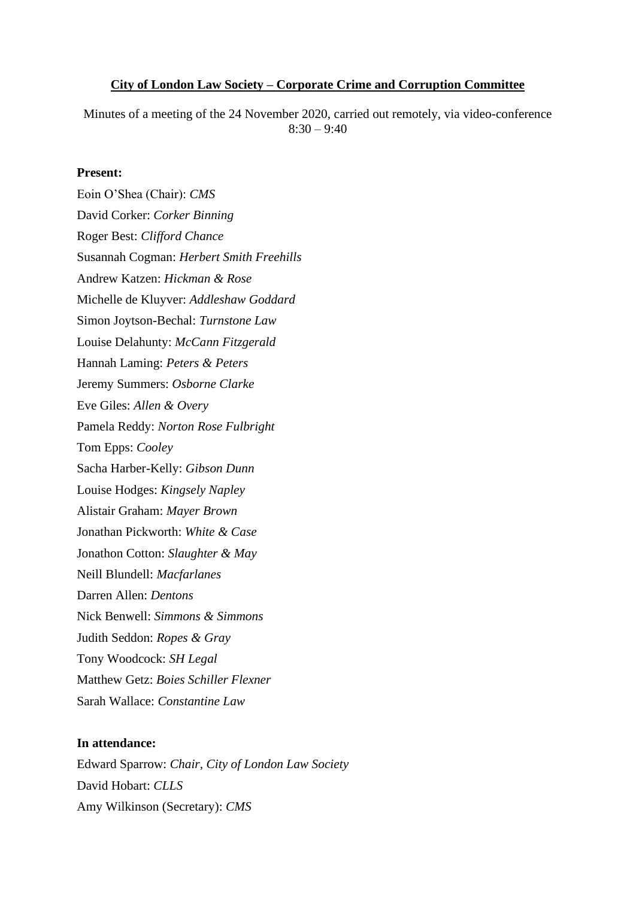#### **City of London Law Society – Corporate Crime and Corruption Committee**

Minutes of a meeting of the 24 November 2020, carried out remotely, via video-conference  $8:30 - 9:40$ 

#### **Present:**

Eoin O'Shea (Chair): *CMS* David Corker: *Corker Binning* Roger Best: *Clifford Chance* Susannah Cogman: *Herbert Smith Freehills* Andrew Katzen: *Hickman & Rose* Michelle de Kluyver: *Addleshaw Goddard* Simon Joytson-Bechal: *Turnstone Law* Louise Delahunty: *McCann Fitzgerald* Hannah Laming: *Peters & Peters* Jeremy Summers: *Osborne Clarke* Eve Giles: *Allen & Overy* Pamela Reddy: *Norton Rose Fulbright* Tom Epps: *Cooley* Sacha Harber-Kelly: *Gibson Dunn* Louise Hodges: *Kingsely Napley*  Alistair Graham: *Mayer Brown* Jonathan Pickworth: *White & Case* Jonathon Cotton: *Slaughter & May* Neill Blundell: *Macfarlanes* Darren Allen: *Dentons* Nick Benwell: *Simmons & Simmons* Judith Seddon: *Ropes & Gray* Tony Woodcock: *SH Legal* Matthew Getz: *Boies Schiller Flexner* Sarah Wallace: *Constantine Law*

#### **In attendance:**

Edward Sparrow: *Chair, City of London Law Society* David Hobart: *CLLS* Amy Wilkinson (Secretary): *CMS*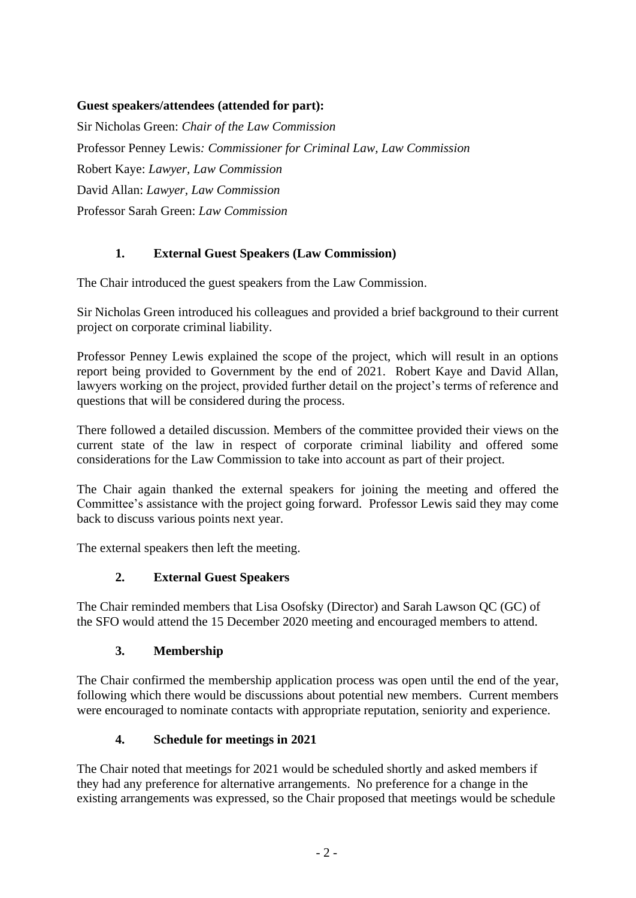### **Guest speakers/attendees (attended for part):**

Sir Nicholas Green: *Chair of the Law Commission* Professor Penney Lewis*: Commissioner for Criminal Law, Law Commission*  Robert Kaye: *Lawyer, Law Commission* David Allan: *Lawyer, Law Commission* Professor Sarah Green: *Law Commission*

## **1. External Guest Speakers (Law Commission)**

The Chair introduced the guest speakers from the Law Commission.

Sir Nicholas Green introduced his colleagues and provided a brief background to their current project on corporate criminal liability.

Professor Penney Lewis explained the scope of the project, which will result in an options report being provided to Government by the end of 2021. Robert Kaye and David Allan, lawyers working on the project, provided further detail on the project's terms of reference and questions that will be considered during the process.

There followed a detailed discussion. Members of the committee provided their views on the current state of the law in respect of corporate criminal liability and offered some considerations for the Law Commission to take into account as part of their project.

The Chair again thanked the external speakers for joining the meeting and offered the Committee's assistance with the project going forward. Professor Lewis said they may come back to discuss various points next year.

The external speakers then left the meeting.

### **2. External Guest Speakers**

The Chair reminded members that Lisa Osofsky (Director) and Sarah Lawson QC (GC) of the SFO would attend the 15 December 2020 meeting and encouraged members to attend.

# **3. Membership**

The Chair confirmed the membership application process was open until the end of the year, following which there would be discussions about potential new members. Current members were encouraged to nominate contacts with appropriate reputation, seniority and experience.

# **4. Schedule for meetings in 2021**

The Chair noted that meetings for 2021 would be scheduled shortly and asked members if they had any preference for alternative arrangements. No preference for a change in the existing arrangements was expressed, so the Chair proposed that meetings would be schedule